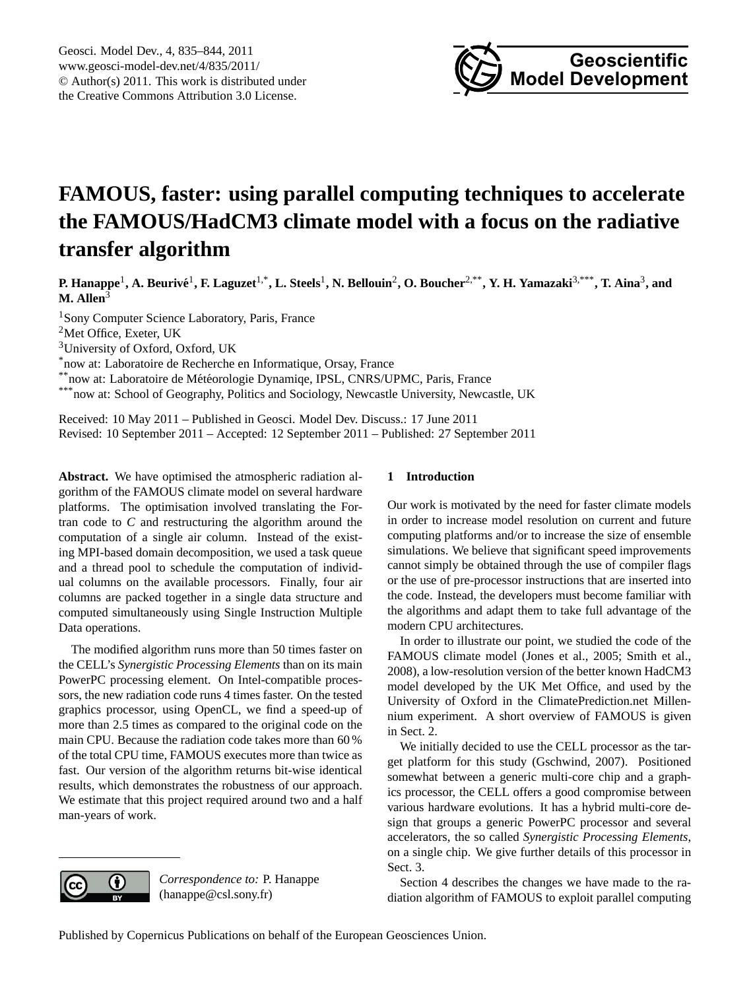

# <span id="page-0-0"></span>**FAMOUS, faster: using parallel computing techniques to accelerate the FAMOUS/HadCM3 climate model with a focus on the radiative transfer algorithm**

**P. Hanappe**<sup>1</sup> **, A. Beurive´** 1 **, F. Laguzet**1,\***, L. Steels**<sup>1</sup> **, N. Bellouin**<sup>2</sup> **, O. Boucher**2,\*\***, Y. H. Yamazaki**3,\*\*\***, T. Aina**<sup>3</sup> **, and M. Allen**<sup>3</sup>

<sup>1</sup>Sony Computer Science Laboratory, Paris, France

<sup>2</sup>Met Office, Exeter, UK

<sup>3</sup>University of Oxford, Oxford, UK

\*now at: Laboratoire de Recherche en Informatique, Orsay, France

\*\* now at: Laboratoire de Météorologie Dynamiqe, IPSL, CNRS/UPMC, Paris, France

\*\*\* now at: School of Geography, Politics and Sociology, Newcastle University, Newcastle, UK

Received: 10 May 2011 – Published in Geosci. Model Dev. Discuss.: 17 June 2011 Revised: 10 September 2011 – Accepted: 12 September 2011 – Published: 27 September 2011

**Abstract.** We have optimised the atmospheric radiation algorithm of the FAMOUS climate model on several hardware platforms. The optimisation involved translating the Fortran code to *C* and restructuring the algorithm around the computation of a single air column. Instead of the existing MPI-based domain decomposition, we used a task queue and a thread pool to schedule the computation of individual columns on the available processors. Finally, four air columns are packed together in a single data structure and computed simultaneously using Single Instruction Multiple Data operations.

The modified algorithm runs more than 50 times faster on the CELL's *Synergistic Processing Elements* than on its main PowerPC processing element. On Intel-compatible processors, the new radiation code runs 4 times faster. On the tested graphics processor, using OpenCL, we find a speed-up of more than 2.5 times as compared to the original code on the main CPU. Because the radiation code takes more than 60 % of the total CPU time, FAMOUS executes more than twice as fast. Our version of the algorithm returns bit-wise identical results, which demonstrates the robustness of our approach. We estimate that this project required around two and a half man-years of work.

# **1 Introduction**

Our work is motivated by the need for faster climate models in order to increase model resolution on current and future computing platforms and/or to increase the size of ensemble simulations. We believe that significant speed improvements cannot simply be obtained through the use of compiler flags or the use of pre-processor instructions that are inserted into the code. Instead, the developers must become familiar with the algorithms and adapt them to take full advantage of the modern CPU architectures.

In order to illustrate our point, we studied the code of the FAMOUS climate model [\(Jones et al.,](#page-9-0) [2005;](#page-9-0) [Smith et al.,](#page-9-1) [2008\)](#page-9-1), a low-resolution version of the better known HadCM3 model developed by the UK Met Office, and used by the University of Oxford in the ClimatePrediction.net Millennium experiment. A short overview of FAMOUS is given in Sect. [2.](#page-1-0)

We initially decided to use the CELL processor as the target platform for this study [\(Gschwind,](#page-9-2) [2007\)](#page-9-2). Positioned somewhat between a generic multi-core chip and a graphics processor, the CELL offers a good compromise between various hardware evolutions. It has a hybrid multi-core design that groups a generic PowerPC processor and several accelerators, the so called *Synergistic Processing Elements*, on a single chip. We give further details of this processor in Sect. [3.](#page-1-1)

Section [4](#page-1-2) describes the changes we have made to the radiation algorithm of FAMOUS to exploit parallel computing



*Correspondence to:* P. Hanappe (hanappe@csl.sony.fr)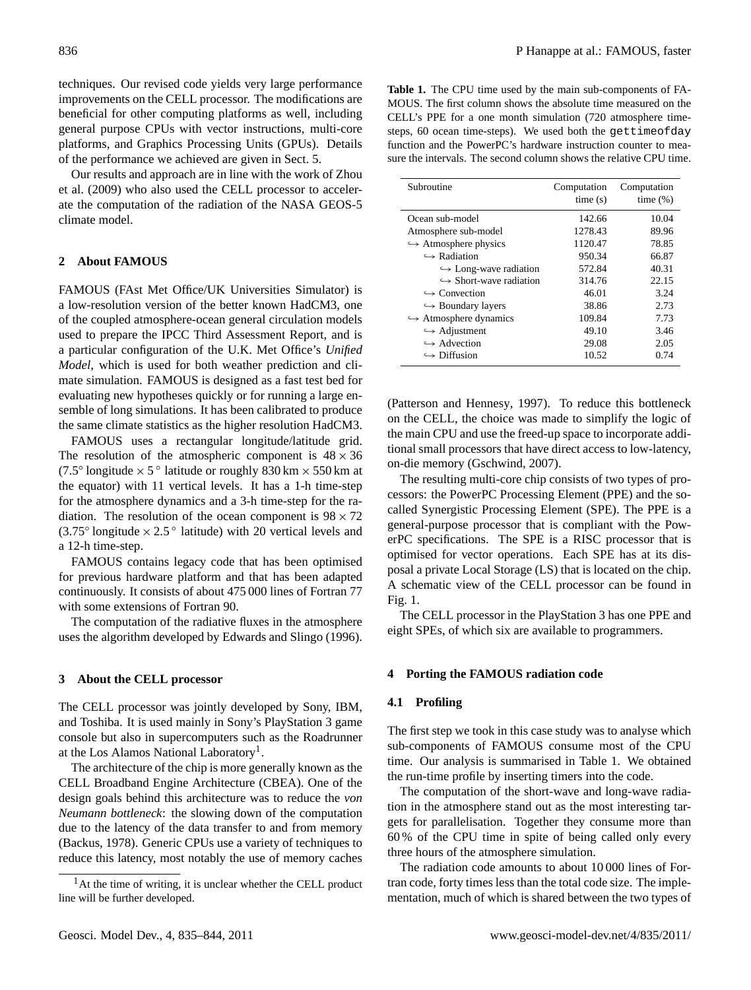techniques. Our revised code yields very large performance improvements on the CELL processor. The modifications are beneficial for other computing platforms as well, including general purpose CPUs with vector instructions, multi-core platforms, and Graphics Processing Units (GPUs). Details of the performance we achieved are given in Sect. [5.](#page-6-0)

Our results and approach are in line with the work of Zhou et al. [\(2009\)](#page-9-3) who also used the CELL processor to accelerate the computation of the radiation of the NASA GEOS-5 climate model.

#### <span id="page-1-0"></span>**2 About FAMOUS**

FAMOUS (FAst Met Office/UK Universities Simulator) is a low-resolution version of the better known HadCM3, one of the coupled atmosphere-ocean general circulation models used to prepare the IPCC Third Assessment Report, and is a particular configuration of the U.K. Met Office's *Unified Model*, which is used for both weather prediction and climate simulation. FAMOUS is designed as a fast test bed for evaluating new hypotheses quickly or for running a large ensemble of long simulations. It has been calibrated to produce the same climate statistics as the higher resolution HadCM3.

FAMOUS uses a rectangular longitude/latitude grid. The resolution of the atmospheric component is  $48 \times 36$ (7.5 $\degree$  longitude  $\times$  5 $\degree$  latitude or roughly 830 km  $\times$  550 km at the equator) with 11 vertical levels. It has a 1-h time-step for the atmosphere dynamics and a 3-h time-step for the radiation. The resolution of the ocean component is  $98 \times 72$ (3.75 $\degree$  longitude  $\times$  2.5 $\degree$  latitude) with 20 vertical levels and a 12-h time-step.

FAMOUS contains legacy code that has been optimised for previous hardware platform and that has been adapted continuously. It consists of about 475 000 lines of Fortran 77 with some extensions of Fortran 90.

The computation of the radiative fluxes in the atmosphere uses the algorithm developed by Edwards and Slingo [\(1996\)](#page-8-0).

#### <span id="page-1-1"></span>**3 About the CELL processor**

The CELL processor was jointly developed by Sony, IBM, and Toshiba. It is used mainly in Sony's PlayStation 3 game console but also in supercomputers such as the Roadrunner at the Los Alamos National Laboratory<sup>[1](#page-1-3)</sup>.

The architecture of the chip is more generally known as the CELL Broadband Engine Architecture (CBEA). One of the design goals behind this architecture was to reduce the *von Neumann bottleneck*: the slowing down of the computation due to the latency of the data transfer to and from memory [\(Backus,](#page-8-1) [1978\)](#page-8-1). Generic CPUs use a variety of techniques to reduce this latency, most notably the use of memory caches

<span id="page-1-4"></span>**Table 1.** The CPU time used by the main sub-components of FA-MOUS. The first column shows the absolute time measured on the CELL's PPE for a one month simulation (720 atmosphere timesteps, 60 ocean time-steps). We used both the gettimeofday function and the PowerPC's hardware instruction counter to measure the intervals. The second column shows the relative CPU time.

| Subroutine                             | Computation<br>time(s) | Computation<br>time $(\%)$ |
|----------------------------------------|------------------------|----------------------------|
| Ocean sub-model                        | 142.66                 | 10.04                      |
| Atmosphere sub-model                   | 1278.43                | 89.96                      |
| $\hookrightarrow$ Atmosphere physics   | 1120.47                | 78.85                      |
| $\hookrightarrow$ Radiation            | 950.34                 | 66.87                      |
| $\hookrightarrow$ Long-wave radiation  | 572.84                 | 40.31                      |
| $\hookrightarrow$ Short-wave radiation | 314.76                 | 22.15                      |
| $\hookrightarrow$ Convection           | 46.01                  | 3.24                       |
| $\hookrightarrow$ Boundary layers      | 38.86                  | 2.73                       |
| $\hookrightarrow$ Atmosphere dynamics  | 109.84                 | 7.73                       |
| $\hookrightarrow$ Adjustment           | 49.10                  | 3.46                       |
| $\leftrightarrow$ Advection            | 29.08                  | 2.05                       |
| $\hookrightarrow$ Diffusion            | 10.52                  | 0.74                       |

[\(Patterson and Hennesy,](#page-9-4) [1997\)](#page-9-4). To reduce this bottleneck on the CELL, the choice was made to simplify the logic of the main CPU and use the freed-up space to incorporate additional small processors that have direct access to low-latency, on-die memory [\(Gschwind,](#page-9-2) [2007\)](#page-9-2).

The resulting multi-core chip consists of two types of processors: the PowerPC Processing Element (PPE) and the socalled Synergistic Processing Element (SPE). The PPE is a general-purpose processor that is compliant with the PowerPC specifications. The SPE is a RISC processor that is optimised for vector operations. Each SPE has at its disposal a private Local Storage (LS) that is located on the chip. A schematic view of the CELL processor can be found in Fig. [1.](#page-2-0)

The CELL processor in the PlayStation 3 has one PPE and eight SPEs, of which six are available to programmers.

#### <span id="page-1-2"></span>**4 Porting the FAMOUS radiation code**

#### **4.1 Profiling**

The first step we took in this case study was to analyse which sub-components of FAMOUS consume most of the CPU time. Our analysis is summarised in Table [1.](#page-1-4) We obtained the run-time profile by inserting timers into the code.

The computation of the short-wave and long-wave radiation in the atmosphere stand out as the most interesting targets for parallelisation. Together they consume more than 60 % of the CPU time in spite of being called only every three hours of the atmosphere simulation.

The radiation code amounts to about 10 000 lines of Fortran code, forty times less than the total code size. The implementation, much of which is shared between the two types of

<span id="page-1-3"></span><sup>&</sup>lt;sup>1</sup>At the time of writing, it is unclear whether the CELL product line will be further developed.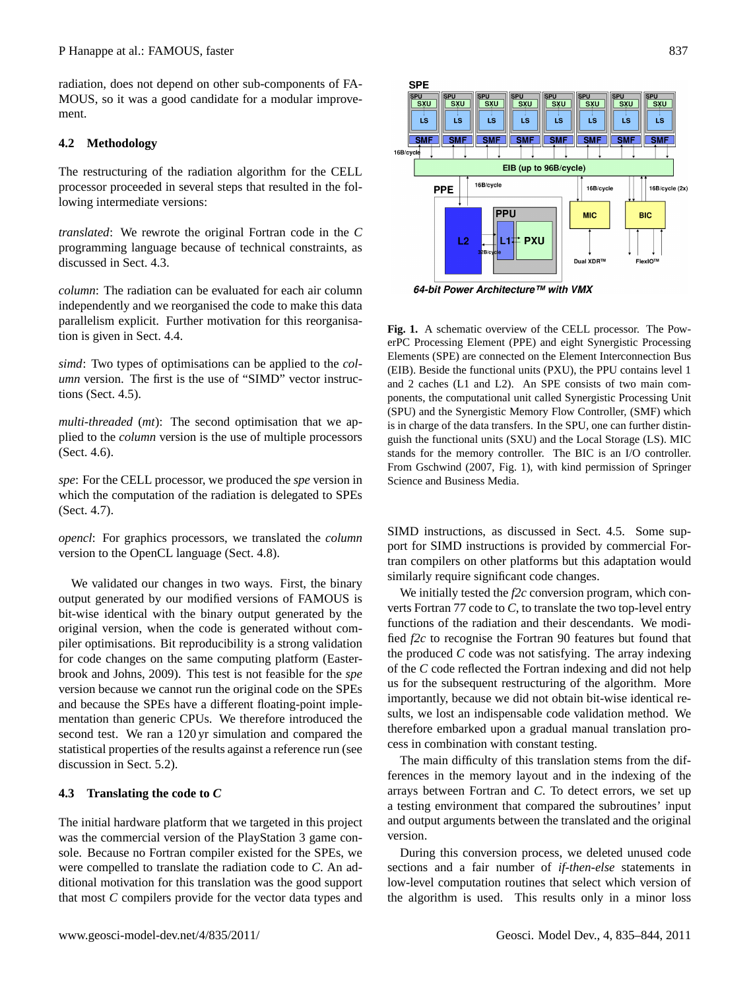radiation, does not depend on other sub-components of FA-MOUS, so it was a good candidate for a modular improvement.

## **4.2 Methodology**

The restructuring of the radiation algorithm for the CELL processor proceeded in several steps that resulted in the following intermediate versions:

*translated*: We rewrote the original Fortran code in the *C* programming language because of technical constraints, as discussed in Sect. [4.3.](#page-2-1)

*column*: The radiation can be evaluated for each air column independently and we reorganised the code to make this data parallelism explicit. Further motivation for this reorganisation is given in Sect. [4.4.](#page-3-0)

*simd*: Two types of optimisations can be applied to the *column* version. The first is the use of "SIMD" vector instructions (Sect. [4.5\)](#page-3-1).

*multi-threaded* (*mt*): The second optimisation that we applied to the *column* version is the use of multiple processors (Sect. [4.6\)](#page-5-0).

*spe*: For the CELL processor, we produced the *spe* version in which the computation of the radiation is delegated to SPEs (Sect. [4.7\)](#page-5-1).

*opencl*: For graphics processors, we translated the *column* version to the OpenCL language (Sect. [4.8\)](#page-5-2).

We validated our changes in two ways. First, the binary output generated by our modified versions of FAMOUS is bit-wise identical with the binary output generated by the original version, when the code is generated without compiler optimisations. Bit reproducibility is a strong validation for code changes on the same computing platform [\(Easter](#page-8-2)[brook and Johns,](#page-8-2) [2009\)](#page-8-2). This test is not feasible for the *spe* version because we cannot run the original code on the SPEs and because the SPEs have a different floating-point implementation than generic CPUs. We therefore introduced the second test. We ran a 120 yr simulation and compared the statistical properties of the results against a reference run (see discussion in Sect. [5.2\)](#page-6-1).

### <span id="page-2-1"></span>**4.3 Translating the code to** *C*

The initial hardware platform that we targeted in this project was the commercial version of the PlayStation 3 game console. Because no Fortran compiler existed for the SPEs, we were compelled to translate the radiation code to *C*. An additional motivation for this translation was the good support that most *C* compilers provide for the vector data types and



64-bit Power Architecture™ with VMX

<span id="page-2-0"></span>Fig. 1. A schematic overview of the CELL processor. The Pow-erPC Processing Element (PPE) and eight Synergistic Processing Elements (SPE) are connected on the Element Interconnection Bus Elements (SPE) are connected on the Element Interconnection Bus (EIB). Beside the functional units (PXU), the PPU contains level 1 and 2 caches ( $L1$  and  $L2$ ). An SPE consists of two main comand 2 caches (L1 and L2). An SPE consists of two main components, the computational unit called Synergistic Processing Unit (SPU) and the Synergistic Memory Flow Controller, (SMF) which is in charge of the data transfers. In the SPU, one can further distinis in charge of the data transfers. In the SPU, one can further distin-guish the functional units (SXU) and the Local Storage (LS). MIC stands for the memory controller. The BIC is an I/O controller. From Gschwind [\(2007,](#page-9-2) Fig. 1), with kind permission of Springer Science and Business Media. **Fig. 1.** A schematic overview of the CELL processor. The Pow-

SIMD instructions, as discussed in Sect. 4.5. Some support for SIMD instructions is provided by commercial Fortran compilers on other platforms but this adaptation would similarly require significant code changes.

We initially tested the  $f2c$  conversion program, which converts Fortran 77 code to *C*, to translate the two top-level entry Functions of the radiation and their descendants. We modi- $\frac{1}{2}$   $\frac{1}{2}$   $\frac{1}{2}$  the impact of  $\frac{1}{2}$   $\frac{1}{2}$   $\frac{1}{2}$   $\frac{1}{2}$   $\frac{1}{2}$   $\frac{1}{2}$   $\frac{1}{2}$   $\frac{1}{2}$   $\frac{1}{2}$   $\frac{1}{2}$   $\frac{1}{2}$   $\frac{1}{2}$   $\frac{1}{2}$   $\frac{1}{2}$   $\frac{1}{2}$   $\frac{1}{2}$   $\frac{1}{2}$   $\frac{1}{2$ fied *f2c* to recognise the Fortran 90 features but found that the produced  $C$  code was not satisfying. The array indexing of the *C* code reflected the Fortran indexing and did not help us for the subsequent restructuring of the algorithm. More importantly, because we did not obtain bit-wise identical results, we lost an indispensable code validation method. We therefore embarked upon a gradual manual translation process in combination with constant testing.

The main difficulty of this translation stems from the differences in the memory layout and in the indexing of the arrays between Fortran and *C*. To detect errors, we set up a testing environment that compared the subroutines' input and output arguments between the translated and the original version.

During this conversion process, we deleted unused code sections and a fair number of *if-then-else* statements in low-level computation routines that select which version of the algorithm is used. This results only in a minor loss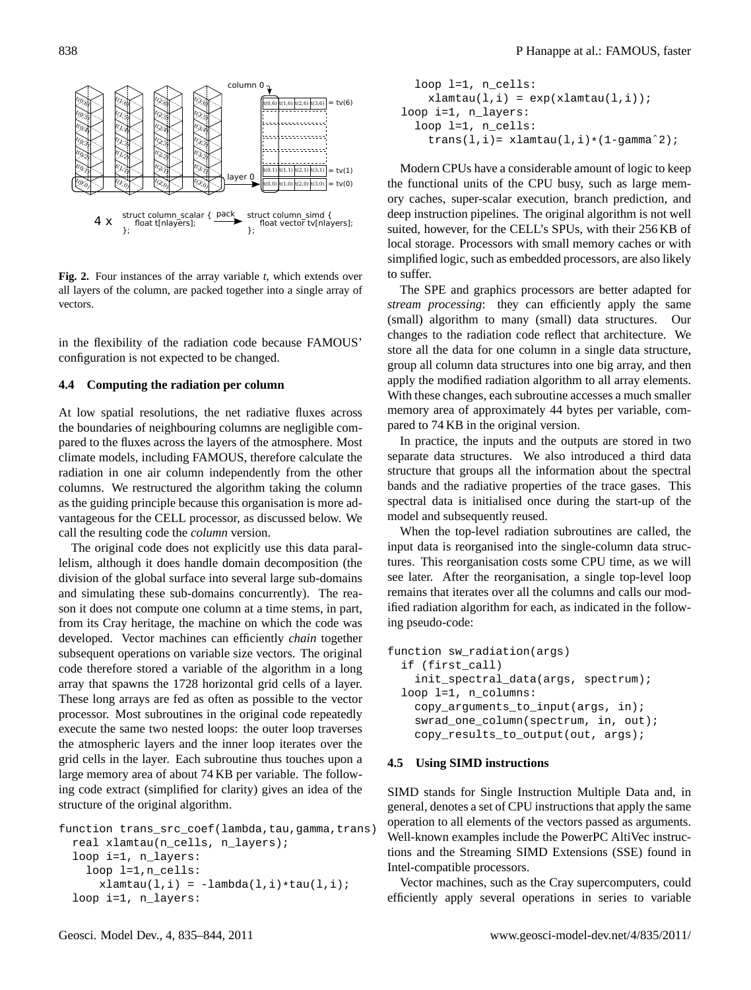

<span id="page-3-2"></span>Fig. 2. Four instances of the array variable *t*, which extends over **Fig. 2.** Four instances of the array variable *t*, which extends over all layers of the column, are packed together into a single array of all layers of the column, are packed together into a single array of vectors. vectors.

configuration is not expected to be changed. task n task i+1 task i task i-1 task 1 task 0 in the flexibility of the radiation code because FAMOUS'

#### <span id="page-3-0"></span>Com 4.4 Computing the radiation per column

Figure to the transfer are top-level in the top-level radiation function function  $\frac{1}{2}$  contains  $\frac{1}{2}$  contains function function function function function function function function function function function fun thread through the threading the three tasks are through the task queue. The task queue and the task queue. call the resulting code the *column* version. At low spatial resolutions, the net radiative fluxes across the boundaries of neighbouring columns are negligible compared to the fluxes across the layers of the atmosphere. Most columns. We restructured the algorithm taking the column as the guiding principle because this organisation is more advantageous for the CELL processor, as discussed below. We

28 P from its Cray heritage, the machine on which the code was son it does not compute one column at a time stems, in part, and simulating these sub-domains concurrently). The readivision of the global surface into several large sub-domains <sup>2</sup> lelism, although it does handle domain decomposition (the The original code does not explicitly use this data paraldeveloped. Vector machines can efficiently *chain* together grid cells in the layer. Each subroutine thus touches upon a the atmospheric layers and the inner loop iterates over the execute the same two nested loops: the outer loop traverses processor. Most subroutines in the original code repeatedly  $\ddot{\phantom{0}}$ These long arrays are fed as often as possible to the vector array that spawns the 1728 horizontal grid cells of a layer. code therefore stored a variable of the algorithm in a long subsequent operations on variable size vectors. The original structure of the original algorithm. large memory area of about 74 KB per variable. The following code extract (simplified for clarity) gives an idea of the

```
function trans_src_coef(lambda,tau,gamma,trans)
real xlamtau(n_cells, n_layers);
loop i=1, n_layers:
   loop l=1,n_cells:
     xlamtau(l,i) = -lambda(l,i)*tau(l,i);loop i=1, n_layers:
```

```
loop l=1, n_cells:
    xlamtau(1,i) = exp(xlamtau(1,i));
loop i=1, n layers:
 loop l=1, n_cells:
    trans(1,i)= xlamtau(1,i)*(1-gamma^2);
```
Modern CPUs have a considerable amount of logic to keep the functional units of the CPU busy, such as large memory caches, super-scalar execution, branch prediction, and deep instruction pipelines. The original algorithm is not well suited, however, for the CELL's SPUs, with their 256 KB of local storage. Processors with small memory caches or with simplified logic, such as embedded processors, are also likely to suffer.

The SPE and graphics processors are better adapted for *stream processing*: they can efficiently apply the same (small) algorithm to many (small) data structures. Our changes to the radiation code reflect that architecture. We store all the data for one column in a single data structure, group all column data structures into one big array, and then apply the modified radiation algorithm to all array elements. With these changes, each subroutine accesses a much smaller memory area of approximately 44 bytes per variable, compared to 74 KB in the original version.

In practice, the inputs and the outputs are stored in two separate data structures. We also introduced a third data structure that groups all the information about the spectral bands and the radiative properties of the trace gases. This spectral data is initialised once during the start-up of the model and subsequently reused.

When the top-level radiation subroutines are called, the input data is reorganised into the single-column data structures. This reorganisation costs some CPU time, as we will see later. After the reorganisation, a single top-level loop remains that iterates over all the columns and calls our modified radiation algorithm for each, as indicated in the following pseudo-code:

```
function sw_radiation(args)
  if (first_call)
    init_spectral_data(args, spectrum);
  loop l=1, n_columns:
    copy_arguments_to_input(args, in);
    swrad_one_column(spectrum, in, out);
    copy_results_to_output(out, args);
```
#### <span id="page-3-1"></span>**4.5 Using SIMD instructions**

SIMD stands for Single Instruction Multiple Data and, in general, denotes a set of CPU instructions that apply the same operation to all elements of the vectors passed as arguments. Well-known examples include the PowerPC AltiVec instructions and the Streaming SIMD Extensions (SSE) found in Intel-compatible processors.

Vector machines, such as the Cray supercomputers, could efficiently apply several operations in series to variable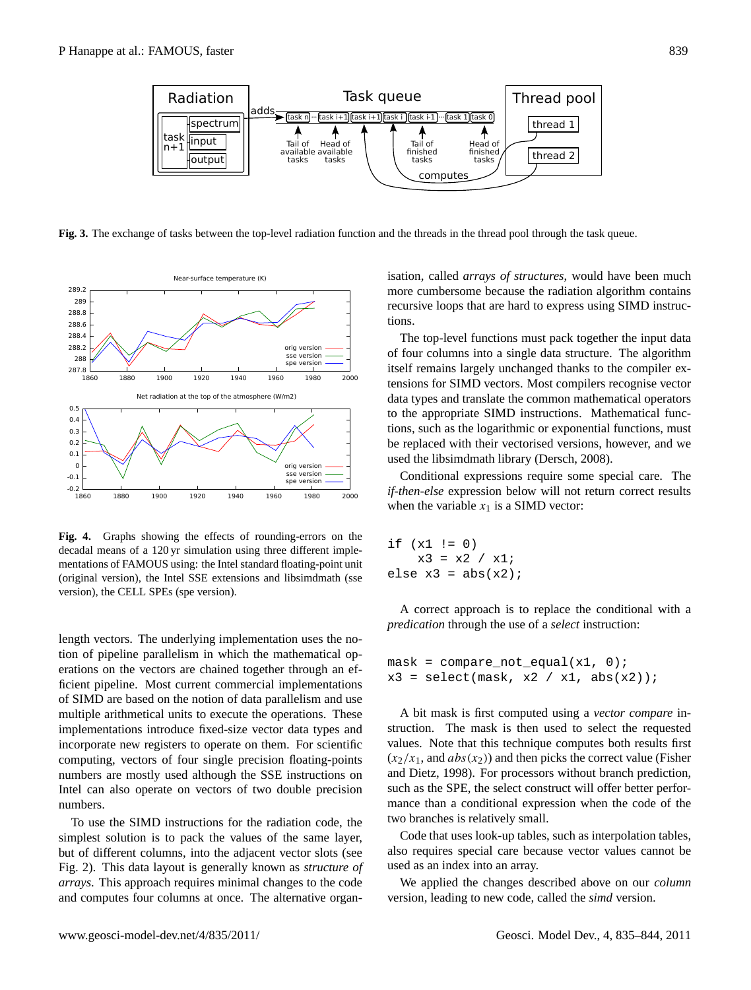Fig. 3. Th **Fig. 3.** The exchange of tasks between the top-level radiation function and the threads in the thread pool through the task queue.



Fig.  $4$ . 287.8 Fig. 4. Graphs showing the effects of rounding-errors on the **Fig. 4.** Graphs showing the effects of rounding-errors on the decadal means of a 120 yr simulation using three different imple-0.5 (original version), the Intel SSE extensions and libsimdmath (sse  $B = \text{SUS } (XZ)$  i mentations of FAMOUS using: the Intel standard floating-point unit version), the CELL SPEs (spe version).

<span id="page-4-1"></span>implementations introduce fixed-size vector data types and multiple arithmetical units to execute the operations. These of SIMD are based on the notion of data parallelism and use 0.1 ficient pipeline. Most current commercial implementations tion of pipeline parallelism in which the mathematical oplength vectors. The underlying implementation uses the noerations on the vectors are chained together through an efincorporate new registers to operate on them. For scientific computing, vectors of four single precision floating-points numbers are mostly used although the SSE instructions on Intel can also operate on vectors of two double precision numbers.

but of different columns, into the adjacent vector slots (see also requires special care because vector varies of  $\overline{E}(p, 2)$ . This data layer is example layers as ethnology of a used as an index into an array arrays. This data higher is generally higher as structure by<br>*arrays*. This approach requires minimal changes to the code We applied the changes described above and computes four columns at once. The alternative organ-version, lead simplest solution is to pack the values of the same layer, Fig. [2\)](#page-3-2). This data layout is generally known as *structure of*

<span id="page-4-0"></span>Near-surface temperature (K) **isation**, called *arrays of structures*, would have been much more cumbersome because the radiation algorithm contains recursive loops that are hard to express using SIMD instructions.

> tensions for SIMD vectors. Most compilers recognise vector The top-level functions must pack together the input data of four columns into a single data structure. The algorithm itself remains largely unchanged thanks to the compiler exdata types and translate the common mathematical operators to the appropriate SIMD instructions. Mathematical functions, such as the logarithmic or exponential functions, must be replaced with their vectorised versions, however, and we used the libsimdmath library [\(Dersch,](#page-8-3) [2008\)](#page-8-3).

> > $TMD$  vector when the variable  $x_1$  is a SIMD vector: Conditional expressions require some special care. The *if-then-else* expression below will not return correct results

$$
\begin{aligned}\n\text{if } (x1 != 0) \\
x3 &= x2 / x1; \\
\text{else } x3 &= abs(x2);\n\end{aligned}
$$

A correct approach is to replace the conditional with a *predication* through the use of a *select* instruction:

```
mask = compare\_not\_equal(x1, 0);x3 = select(maxk, x2 / x1, abs(x2));
```
ers to operate on them. For scientific values. Note that this technique computes both results first A bit mask is first computed using a *vector compare* instruction. The mask is then used to select the requested Fig. 4. Graphs show in the effects.<br>To use the SIMD instructions for the radiation code, the two branches is relatively small.  $(x_2/x_1$ , and  $abs(x_2)$ ) and then picks the correct value [\(Fisher](#page-9-5) [and Dietz,](#page-9-5) [1998\)](#page-9-5). For processors without branch prediction, such as the SPE, the select construct will offer better performance than a conditional expression when the code of the two branches is relatively small.

1 is to pack the values of the same layer, Code that uses look-up tables, such as interpolation tables, also requires special care because vector values cannot be used as an index into an array.

> We applied the changes described above on our *column* version, leading to new code, called the *simd* version.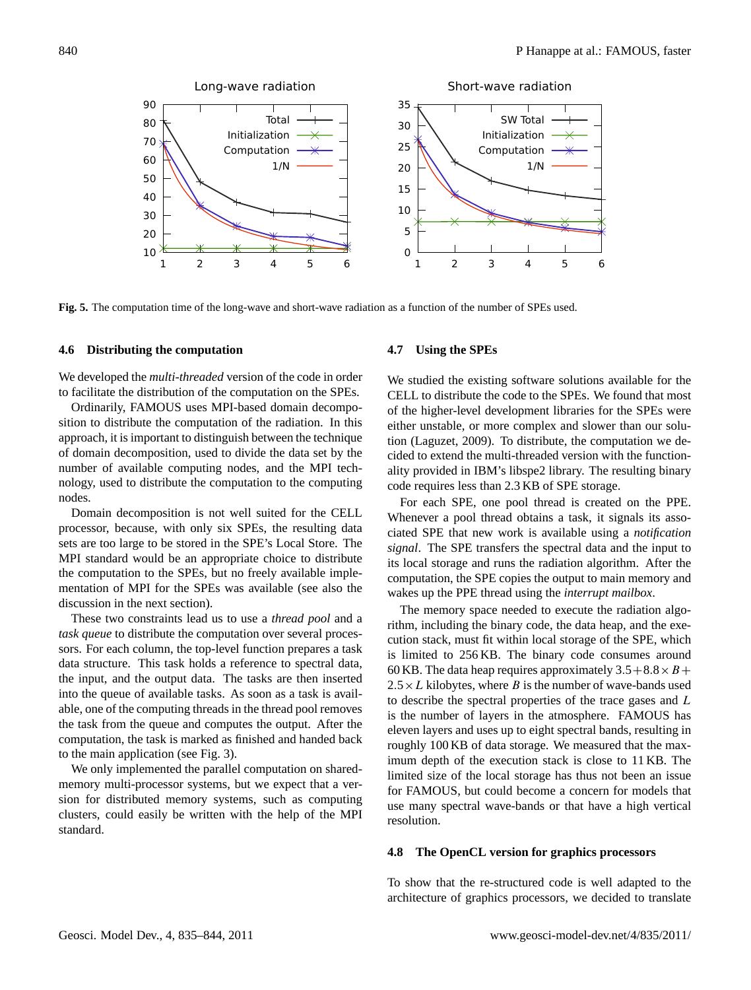

<span id="page-5-3"></span>**Fig. 5.** The computation time of the long-wave and short-wave radiation as a function of the number of SPEs used.

# <span id="page-5-0"></span>**4.6 Distributing the computation 4.7** Using the SPI

We developed the *multi-threaded* version of the code in order to facilitate the distribution of the computation on the SPEs.

of domain decomposition, used to divide the data set by the cided to extend the multi-threaded version wi steps of our comparison to the comparing of the gettimes less than 2.5 KB of SPE storage.<br>For each SPE, one pool thread is created on the PPE. Ordinarily, FAMOUS uses MPI-based domain decomposition to distribute the computation of the radiation. In this approach, it is important to distinguish between the technique number of available computing nodes, and the MPI technology, used to distribute the computation to the computing nodes.

sure the intervals. The intervalse column shows the second column sets are too large to be stored in the SPE's Local Store. The second The SPE transfers the spectral data a  $SPE$  computation computation computation computation. The SPE copies the output to mentation of MPI for the SPEs was available (see also the  $W$ Domain decomposition is not well suited for the CELL processor, because, with only six SPEs, the resulting data MPI standard would be an appropriate choice to distribute the computation to the SPEs, but no freely available implediscussion in the next section).

data structure. This task holds a reference to spectral data,<br> $60 \text{ KB}$ . The data heap requires approximately able, one of the computing threads in the thread pool removes<br>able, one of the computing threads in the thread pool removes<br>is the number of lavers in the atmosphere These two constraints lead us to use a *thread pool* and a *task queue* to distribute the computation over several processors. For each column, the top-level function prepares a task the input, and the output data. The tasks are then inserted into the queue of available tasks. As soon as a task is availthe task from the queue and computes the output. After the computation, the task is marked as finished and handed back to the main application (see Fig. [3\)](#page-4-0).

sion for distributed memory systems, such as computing<br>sion for distributed memory systems, such as computing<br>use many spectral wave bands or that have  $\frac{1}{2}$  clusters, could easily be written with the help of the MPI  $\frac{1}{2}$  resolution.  $\frac{10}{10}$   $\frac{10}{10}$   $\frac{10}{10}$   $\frac{10}{10}$ We only implemented the parallel computation on sharedmemory multi-processor systems, but we expect that a verstandard.

#### <span id="page-5-1"></span>**4.7 Using the SPEs**

bute the computation of the radiation. In this either unstable, or more complex and slower than our solu-<br>important to distinguish between the tophnique ailable computing nodes, and the MPI tech-<br>ality provided in IBM's libspe2 library. The resulting binary We studied the existing software solutions available for the CELL to distribute the code to the SPEs. We found that most of the higher-level development libraries for the SPEs were tion [\(Laguzet,](#page-9-6) [2009\)](#page-9-6). To distribute, the computation we decided to extend the multi-threaded version with the functioncode requires less than 2.3 KB of SPE storage.

composition is not well suited for the CELL Whenever a pool thread obtains a task, it signals its asso- $\epsilon$  PPE. needed to transfer the data to the data to the data to the SPE's second the SPE's second the SPE's second the SPE's second the SPE's second the SPE's second the SPE's second the SPE's second the SPE's second the SPE's seco clated SPE that new work is available using a *notification* signal. The SPE transfers the spectral data and the input to ciated SPE that new work is available using a *notification* its local storage and runs the radiation algorithm. After the computation, the SPE copies the output to main memory and wakes up the PPE thread using the *interrupt mailbox*.

The memory space needed to execute the radiation algonodie the computation over several proces-<br>humn the top-level function prepares a task<br>of the SPC, which is output data. The tasks are then inserted  $2.5 \times L$  kilobytes, where B is the number of wave-bands used l computes the output. After the eleven layers and uses up to eight spectral bands, resulting in roughly 100 KB of data storage. We measured that the max-<br>Fig. 3). Fig. 31. Fig. 31. Fig. 31. Expansion stack is close to 11 KB. The ed the parallel computation on shared-<br>limited size of the local storage has thus not been an issue The ISSUE<br>The computation time (in second) and the speed in second in second in the speed in the speed in the speed in  $\mathcal{S}$ vertical rithm, including the binary code, the data heap, and the exeis limited to 256 KB. The binary code consumes around 60 KB. The data heap requires approximately  $3.5+8.8\times B+$ to describe the spectral properties of the trace gases and L is the number of layers in the atmosphere. FAMOUS has imum depth of the execution stack is close to 11 KB. The for FAMOUS, but could become a concern for models that use many spectral wave-bands or that have a high vertical resolution.

# <span id="page-5-2"></span>**4.8 The OpenCL version for graphics processors**  $\mathbf{a}$

To show that the re-structured code is well adapted to the come version Famous Late architecture of graphics processors, we decided to translate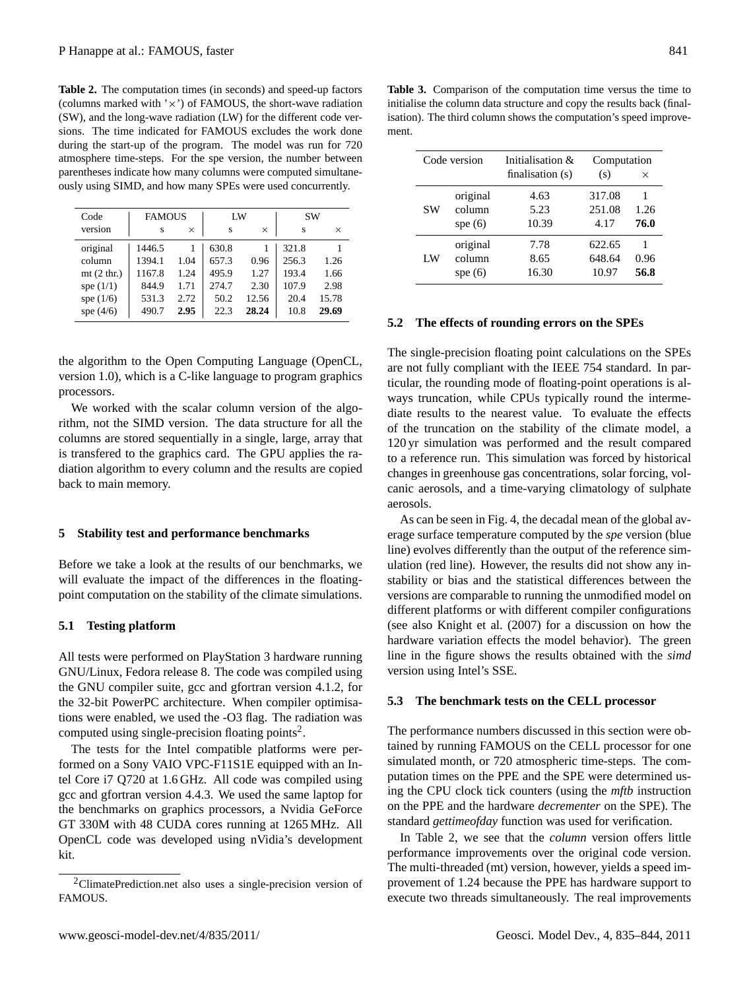<span id="page-6-3"></span>**Table 2.** The computation times (in seconds) and speed-up factors (columns marked with  $' \times$ ) of FAMOUS, the short-wave radiation (SW), and the long-wave radiation (LW) for the different code versions. The time indicated for FAMOUS excludes the work done during the start-up of the program. The model was run for 720 atmosphere time-steps. For the spe version, the number between parentheses indicate how many columns were computed simultaneously using SIMD, and how many SPEs were used concurrently.

| Code        | <b>FAMOUS</b> |      | LW    |       | SW    |          |
|-------------|---------------|------|-------|-------|-------|----------|
| version     | s             | X    | S     | ×     | S     | $\times$ |
| original    | 1446.5        |      | 630.8 |       | 321.8 |          |
| column      | 1394.1        | 1.04 | 657.3 | 0.96  | 256.3 | 1.26     |
| mt(2 thr.)  | 1167.8        | 1.24 | 495.9 | 1.27  | 193.4 | 1.66     |
| spe $(1/1)$ | 844.9         | 1.71 | 274.7 | 2.30  | 107.9 | 2.98     |
| spe $(1/6)$ | 531.3         | 2.72 | 50.2  | 12.56 | 20.4  | 15.78    |
| spe $(4/6)$ | 490.7         | 2.95 | 22.3  | 28.24 | 10.8  | 29.69    |

the algorithm to the Open Computing Language (OpenCL, version 1.0), which is a C-like language to program graphics processors.

We worked with the scalar column version of the algorithm, not the SIMD version. The data structure for all the columns are stored sequentially in a single, large, array that is transfered to the graphics card. The GPU applies the radiation algorithm to every column and the results are copied back to main memory.

#### <span id="page-6-0"></span>**5 Stability test and performance benchmarks**

Before we take a look at the results of our benchmarks, we will evaluate the impact of the differences in the floatingpoint computation on the stability of the climate simulations.

#### **5.1 Testing platform**

All tests were performed on PlayStation 3 hardware running GNU/Linux, Fedora release 8. The code was compiled using the GNU compiler suite, gcc and gfortran version 4.1.2, for the 32-bit PowerPC architecture. When compiler optimisations were enabled, we used the -O3 flag. The radiation was computed using single-precision floating points<sup>[2](#page-6-2)</sup>.

The tests for the Intel compatible platforms were performed on a Sony VAIO VPC-F11S1E equipped with an Intel Core i7 Q720 at 1.6 GHz. All code was compiled using gcc and gfortran version 4.4.3. We used the same laptop for the benchmarks on graphics processors, a Nvidia GeForce GT 330M with 48 CUDA cores running at 1265 MHz. All OpenCL code was developed using nVidia's development kit.

**Table 3.** Comparison of the computation time versus the time to initialise the column data structure and copy the results back (finalisation). The third column shows the computation's speed improvement.

| Code version |           | Initialisation $\&$ | Computation |          |  |
|--------------|-----------|---------------------|-------------|----------|--|
|              |           | finalisation $(s)$  | (s)         | $\times$ |  |
|              | original  | 4.63                | 317.08      |          |  |
| SW           | column    | 5.23                | 251.08      | 1.26     |  |
|              | spe $(6)$ | 10.39               | 4.17        | 76.0     |  |
|              | original  | 7.78                | 622.65      | 1        |  |
| LW           | column    | 8.65                | 648.64      | 0.96     |  |
|              | spe $(6)$ | 16.30               | 10.97       | 56.8     |  |

#### <span id="page-6-1"></span>**5.2 The effects of rounding errors on the SPEs**

The single-precision floating point calculations on the SPEs are not fully compliant with the IEEE 754 standard. In particular, the rounding mode of floating-point operations is always truncation, while CPUs typically round the intermediate results to the nearest value. To evaluate the effects of the truncation on the stability of the climate model, a 120 yr simulation was performed and the result compared to a reference run. This simulation was forced by historical changes in greenhouse gas concentrations, solar forcing, volcanic aerosols, and a time-varying climatology of sulphate aerosols.

As can be seen in Fig. [4,](#page-4-1) the decadal mean of the global average surface temperature computed by the *spe* version (blue line) evolves differently than the output of the reference simulation (red line). However, the results did not show any instability or bias and the statistical differences between the versions are comparable to running the unmodified model on different platforms or with different compiler configurations (see also [Knight et al.](#page-9-7) [\(2007\)](#page-9-7) for a discussion on how the hardware variation effects the model behavior). The green line in the figure shows the results obtained with the *simd* version using Intel's SSE.

#### **5.3 The benchmark tests on the CELL processor**

The performance numbers discussed in this section were obtained by running FAMOUS on the CELL processor for one simulated month, or 720 atmospheric time-steps. The computation times on the PPE and the SPE were determined using the CPU clock tick counters (using the *mftb* instruction on the PPE and the hardware *decrementer* on the SPE). The standard *gettimeofday* function was used for verification.

In Table [2,](#page-6-3) we see that the *column* version offers little performance improvements over the original code version. The multi-threaded (mt) version, however, yields a speed improvement of 1.24 because the PPE has hardware support to execute two threads simultaneously. The real improvements

<span id="page-6-2"></span><sup>2</sup>ClimatePrediction.net also uses a single-precision version of FAMOUS.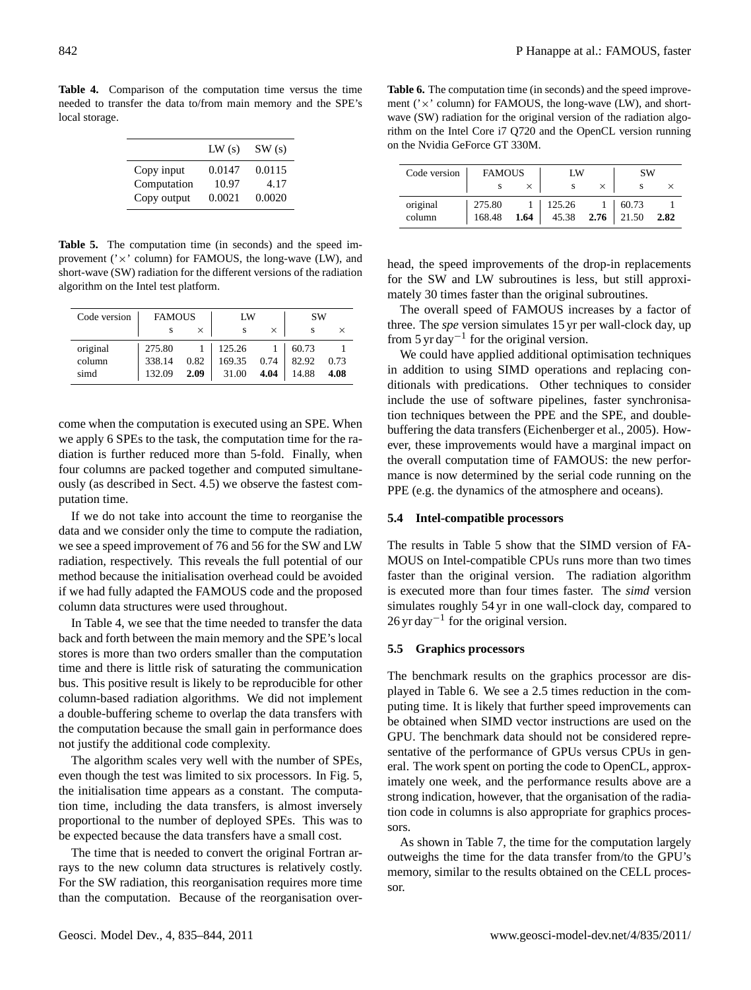<span id="page-7-0"></span>**Table 4.** Comparison of the computation time versus the time needed to transfer the data to/from main memory and the SPE's local storage.

|             | LW(s)  | SW(s)  |
|-------------|--------|--------|
| Copy input  | 0.0147 | 0.0115 |
| Computation | 10.97  | 4.17   |
| Copy output | 0.0021 | 0.0020 |

<span id="page-7-1"></span>**Table 5.** The computation time (in seconds) and the speed improvement ('x' column) for FAMOUS, the long-wave (LW), and short-wave (SW) radiation for the different versions of the radiation algorithm on the Intel test platform.

| Code version | <b>FAMOUS</b> |          | LW     |      | <b>SW</b> |      |
|--------------|---------------|----------|--------|------|-----------|------|
|              |               | $\times$ |        | ×    |           | ×    |
| original     | 275.80        |          | 125.26 |      | 60.73     |      |
| column       | 338.14        | 0.82     | 169.35 | 0.74 | 82.92     | 0.73 |
| simd         | 132.09        | 2.09     | 31.00  | 4.04 | 14.88     | 4.08 |

come when the computation is executed using an SPE. When we apply 6 SPEs to the task, the computation time for the radiation is further reduced more than 5-fold. Finally, when four columns are packed together and computed simultaneously (as described in Sect. [4.5\)](#page-3-1) we observe the fastest computation time.

If we do not take into account the time to reorganise the data and we consider only the time to compute the radiation, we see a speed improvement of 76 and 56 for the SW and LW radiation, respectively. This reveals the full potential of our method because the initialisation overhead could be avoided if we had fully adapted the FAMOUS code and the proposed column data structures were used throughout.

In Table [4,](#page-7-0) we see that the time needed to transfer the data back and forth between the main memory and the SPE's local stores is more than two orders smaller than the computation time and there is little risk of saturating the communication bus. This positive result is likely to be reproducible for other column-based radiation algorithms. We did not implement a double-buffering scheme to overlap the data transfers with the computation because the small gain in performance does not justify the additional code complexity.

The algorithm scales very well with the number of SPEs, even though the test was limited to six processors. In Fig. [5,](#page-5-3) the initialisation time appears as a constant. The computation time, including the data transfers, is almost inversely proportional to the number of deployed SPEs. This was to be expected because the data transfers have a small cost.

The time that is needed to convert the original Fortran arrays to the new column data structures is relatively costly. For the SW radiation, this reorganisation requires more time than the computation. Because of the reorganisation over-

<span id="page-7-2"></span>**Table 6.** The computation time (in seconds) and the speed improvement ('x' column) for FAMOUS, the long-wave (LW), and shortwave (SW) radiation for the original version of the radiation algorithm on the Intel Core i7 Q720 and the OpenCL version running on the Nvidia GeForce GT 330M.

| Code version | <b>FAMOUS</b>    |      | LW         |   | <b>SW</b>    |      |
|--------------|------------------|------|------------|---|--------------|------|
|              |                  | ×    |            | x |              |      |
| original     |                  |      | 1   125.26 |   | $1 \t 60.73$ |      |
| column       | 275.80<br>168.48 | 1.64 | 45.38 2.76 |   | 21.50        | 2.82 |

head, the speed improvements of the drop-in replacements for the SW and LW subroutines is less, but still approximately 30 times faster than the original subroutines.

The overall speed of FAMOUS increases by a factor of three. The *spe* version simulates 15 yr per wall-clock day, up from 5 yr day<sup>-1</sup> for the original version.

We could have applied additional optimisation techniques in addition to using SIMD operations and replacing conditionals with predications. Other techniques to consider include the use of software pipelines, faster synchronisation techniques between the PPE and the SPE, and doublebuffering the data transfers [\(Eichenberger et al.,](#page-8-4) [2005\)](#page-8-4). However, these improvements would have a marginal impact on the overall computation time of FAMOUS: the new performance is now determined by the serial code running on the PPE (e.g. the dynamics of the atmosphere and oceans).

#### **5.4 Intel-compatible processors**

The results in Table [5](#page-7-1) show that the SIMD version of FA-MOUS on Intel-compatible CPUs runs more than two times faster than the original version. The radiation algorithm is executed more than four times faster. The *simd* version simulates roughly 54 yr in one wall-clock day, compared to 26 yr day<sup>-1</sup> for the original version.

#### **5.5 Graphics processors**

The benchmark results on the graphics processor are displayed in Table [6.](#page-7-2) We see a 2.5 times reduction in the computing time. It is likely that further speed improvements can be obtained when SIMD vector instructions are used on the GPU. The benchmark data should not be considered representative of the performance of GPUs versus CPUs in general. The work spent on porting the code to OpenCL, approximately one week, and the performance results above are a strong indication, however, that the organisation of the radiation code in columns is also appropriate for graphics processors.

As shown in Table [7,](#page-8-5) the time for the computation largely outweighs the time for the data transfer from/to the GPU's memory, similar to the results obtained on the CELL processor.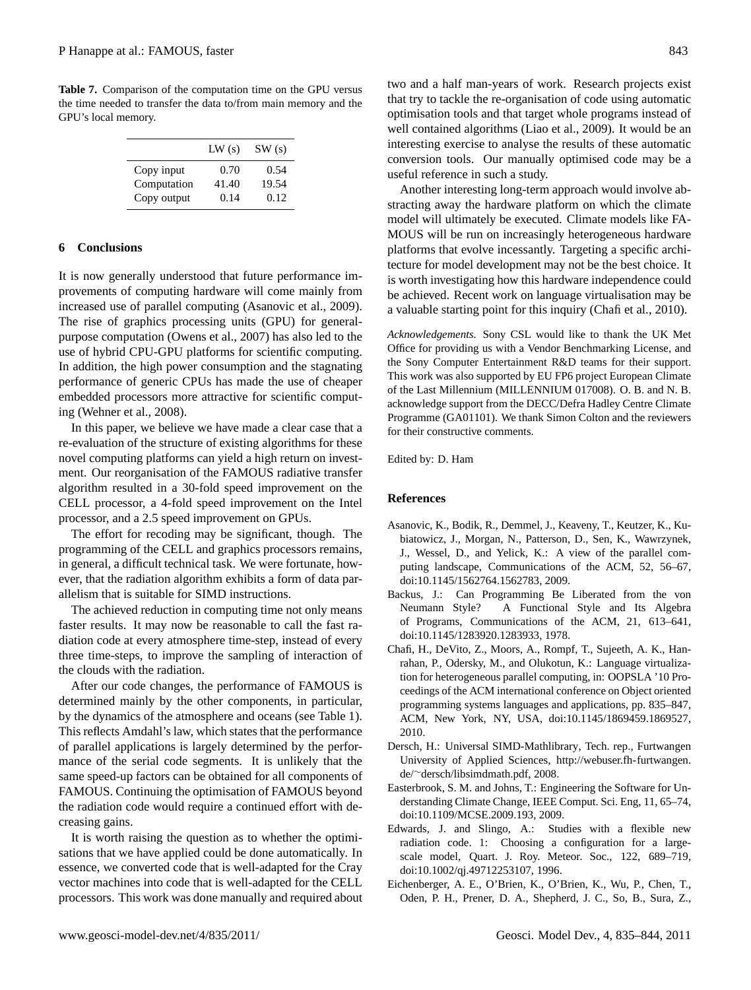<span id="page-8-5"></span>**Table 7.** Comparison of the computation time on the GPU versus the time needed to transfer the data to/from main memory and the GPU's local memory.

|             | LW(s) | SW(s) |
|-------------|-------|-------|
| Copy input  | 0.70  | 0.54  |
| Computation | 41.40 | 19.54 |
| Copy output | 0.14  | 0.12  |

#### **6 Conclusions**

It is now generally understood that future performance improvements of computing hardware will come mainly from increased use of parallel computing [\(Asanovic et al.,](#page-8-6) [2009\)](#page-8-6). The rise of graphics processing units (GPU) for generalpurpose computation [\(Owens et al.,](#page-9-8) [2007\)](#page-9-8) has also led to the use of hybrid CPU-GPU platforms for scientific computing. In addition, the high power consumption and the stagnating performance of generic CPUs has made the use of cheaper embedded processors more attractive for scientific computing [\(Wehner et al.,](#page-9-9) [2008\)](#page-9-9).

In this paper, we believe we have made a clear case that a re-evaluation of the structure of existing algorithms for these novel computing platforms can yield a high return on investment. Our reorganisation of the FAMOUS radiative transfer algorithm resulted in a 30-fold speed improvement on the CELL processor, a 4-fold speed improvement on the Intel processor, and a 2.5 speed improvement on GPUs.

The effort for recoding may be significant, though. The programming of the CELL and graphics processors remains, in general, a difficult technical task. We were fortunate, however, that the radiation algorithm exhibits a form of data parallelism that is suitable for SIMD instructions.

The achieved reduction in computing time not only means faster results. It may now be reasonable to call the fast radiation code at every atmosphere time-step, instead of every three time-steps, to improve the sampling of interaction of the clouds with the radiation.

After our code changes, the performance of FAMOUS is determined mainly by the other components, in particular, by the dynamics of the atmosphere and oceans (see Table [1\)](#page-1-4). This reflects Amdahl's law, which states that the performance of parallel applications is largely determined by the performance of the serial code segments. It is unlikely that the same speed-up factors can be obtained for all components of FAMOUS. Continuing the optimisation of FAMOUS beyond the radiation code would require a continued effort with decreasing gains.

It is worth raising the question as to whether the optimisations that we have applied could be done automatically. In essence, we converted code that is well-adapted for the Cray vector machines into code that is well-adapted for the CELL processors. This work was done manually and required about two and a half man-years of work. Research projects exist that try to tackle the re-organisation of code using automatic optimisation tools and that target whole programs instead of well contained algorithms [\(Liao et al.,](#page-9-10) [2009\)](#page-9-10). It would be an interesting exercise to analyse the results of these automatic conversion tools. Our manually optimised code may be a useful reference in such a study.

Another interesting long-term approach would involve abstracting away the hardware platform on which the climate model will ultimately be executed. Climate models like FA-MOUS will be run on increasingly heterogeneous hardware platforms that evolve incessantly. Targeting a specific architecture for model development may not be the best choice. It is worth investigating how this hardware independence could be achieved. Recent work on language virtualisation may be a valuable starting point for this inquiry [\(Chafi et al.,](#page-8-7) [2010\)](#page-8-7).

*Acknowledgements.* Sony CSL would like to thank the UK Met Office for providing us with a Vendor Benchmarking License, and the Sony Computer Entertainment R&D teams for their support. This work was also supported by EU FP6 project European Climate of the Last Millennium (MILLENNIUM 017008). O. B. and N. B. acknowledge support from the DECC/Defra Hadley Centre Climate Programme (GA01101). We thank Simon Colton and the reviewers for their constructive comments.

Edited by: D. Ham

#### **References**

- <span id="page-8-6"></span>Asanovic, K., Bodik, R., Demmel, J., Keaveny, T., Keutzer, K., Kubiatowicz, J., Morgan, N., Patterson, D., Sen, K., Wawrzynek, J., Wessel, D., and Yelick, K.: A view of the parallel computing landscape, Communications of the ACM, 52, 56–67, [doi:10.1145/1562764.1562783,](http://dx.doi.org/10.1145/1562764.1562783) 2009.
- <span id="page-8-1"></span>Backus, J.: Can Programming Be Liberated from the von Neumann Style? A Functional Style and Its Algebra of Programs, Communications of the ACM, 21, 613–641, [doi:10.1145/1283920.1283933,](http://dx.doi.org/10.1145/1283920.1283933) 1978.
- <span id="page-8-7"></span>Chafi, H., DeVito, Z., Moors, A., Rompf, T., Sujeeth, A. K., Hanrahan, P., Odersky, M., and Olukotun, K.: Language virtualization for heterogeneous parallel computing, in: OOPSLA '10 Proceedings of the ACM international conference on Object oriented programming systems languages and applications, pp. 835–847, ACM, New York, NY, USA, [doi:10.1145/1869459.1869527,](http://dx.doi.org/10.1145/1869459.1869527) 2010.
- <span id="page-8-3"></span>Dersch, H.: Universal SIMD-Mathlibrary, Tech. rep., Furtwangen University of Applied Sciences, [http://webuser.fh-furtwangen.](http://webuser.fh-furtwangen.de/~dersch/libsimdmath.pdf) de/∼[dersch/libsimdmath.pdf,](http://webuser.fh-furtwangen.de/~dersch/libsimdmath.pdf) 2008.
- <span id="page-8-2"></span>Easterbrook, S. M. and Johns, T.: Engineering the Software for Understanding Climate Change, IEEE Comput. Sci. Eng, 11, 65–74, [doi:10.1109/MCSE.2009.193,](http://dx.doi.org/10.1109/MCSE.2009.193) 2009.
- <span id="page-8-0"></span>Edwards, J. and Slingo, A.: Studies with a flexible new radiation code. 1: Choosing a configuration for a largescale model, Quart. J. Roy. Meteor. Soc., 122, 689–719, [doi:10.1002/qj.49712253107,](http://dx.doi.org/10.1002/qj.49712253107) 1996.
- <span id="page-8-4"></span>Eichenberger, A. E., O'Brien, K., O'Brien, K., Wu, P., Chen, T., Oden, P. H., Prener, D. A., Shepherd, J. C., So, B., Sura, Z.,